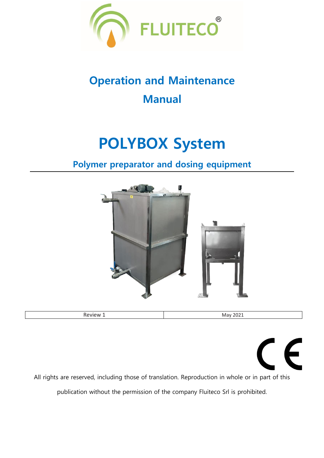

## **Operation and Maintenance Manual**

## **POLYBOX System**

### **Polymer preparator and dosing equipment**



 $\epsilon$ All rights are reserved, including those of translation. Reproduction in whole or in part of this publication without the permission of the company Fluiteco Srl is prohibited.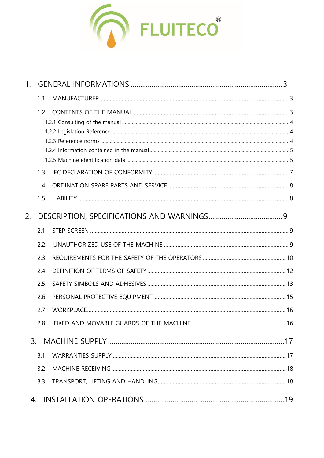

| 1. |     |  |
|----|-----|--|
|    | 1.1 |  |
|    | 1.2 |  |
|    |     |  |
|    | 1.3 |  |
|    | 1.4 |  |
|    | 1.5 |  |
| 2. |     |  |
|    | 2.1 |  |
|    | 2.2 |  |
|    | 2.3 |  |
|    | 2.4 |  |
|    | 2.5 |  |
|    | 2.6 |  |
|    | 2.7 |  |
|    | 2.8 |  |
| 3. |     |  |
|    | 3.1 |  |
|    | 3.2 |  |
|    | 3.3 |  |
| 4. |     |  |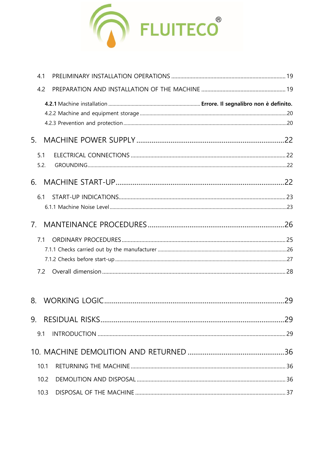

| 4.1            |     |
|----------------|-----|
| 4.2            |     |
|                |     |
| 5.             |     |
| 5.1<br>5.2.    |     |
| 6.             |     |
| 6.1            |     |
| 7 <sub>1</sub> |     |
| 7.1<br>7.2     |     |
| 8.             | 29  |
|                | .29 |
| 9.1            |     |
|                |     |
| 10.1           |     |
| 10.2           |     |
| 10.3           |     |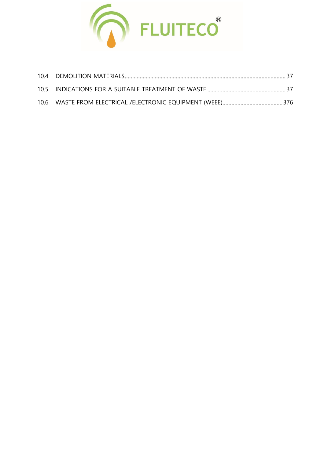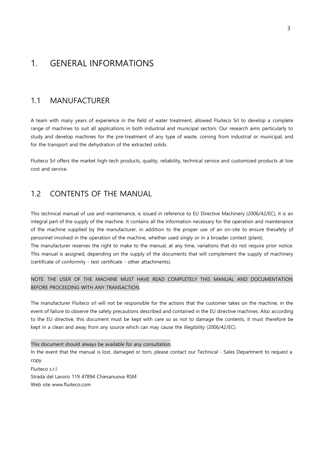#### <span id="page-4-0"></span>1. GENERAL INFORMATIONS

#### <span id="page-4-1"></span>1.1 MANUFACTURER

A team with many years of experience in the field of water treatment, allowed Fluiteco Srl to develop a complete range of machines to suit all applications in both industrial and municipal sectors. Our research aims particularly to study and develop machines for the pre-treatment of any type of waste, coming from industrial or municipal, and for the transport and the dehydration of the extracted solids.

Fluiteco Srl offers the market high-tech products, quality, reliability, technical service and customized products at low cost and service.

#### <span id="page-4-2"></span>1.2 CONTENTS OF THE MANUAL

This technical manual of use and maintenance, is issued in reference to EU Directive Machinery (2006/42/EC), it is an integral part of the supply of the machine. It contains all the information necessary for the operation and maintenance of the machine supplied by the manufacturer, in addition to the proper use of an on-site to ensure thesafety of personnel involved in the operation of the machine, whether used singly or in a broader context (plant).

The manufacturer reserves the right to make to the manual, at any time, variations that do not require prior notice. This manual is assigned, depending on the supply of the documents that will complement the supply of machinery (certificate of conformity - test certificate - other attachments).

BEFORE PROCEEDING WITH ANY TRANSACTION. NOTE: THE USER OF THE MACHINE MUST HAVE READ COMPLETELY THIS MANUAL AND DOCUMENTATION

The manufacturer Fluiteco srl will not be responsible for the actions that the customer takes on the machine, in the event of failure to observe the safety precautions described and contained in the EU directive machines. Also according to the EU directive, this document must be kept with care so as not to damage the contents, it must therefore be kept in a clean and away from any source which can may cause the illegibility (2006/42/EC).

This document should always be available for any consultation. In the event that the manual is lost, damaged or torn, please contact our Technical - Sales Department to request a copy.

Fluiteco s.r.l. Strada del Lavoro 119 47894 Chiesanuova RSM Web site [www.fluiteco.com](http://www.fluiteco.com/)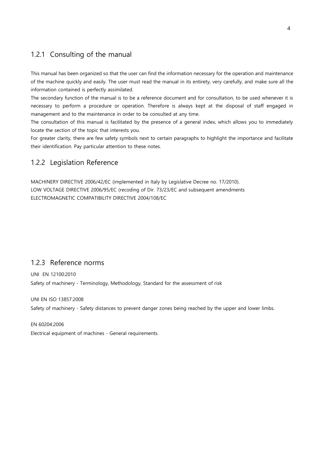#### <span id="page-5-0"></span>1.2.1 Consulting of the manual

This manual has been organized so that the user can find the information necessary for the operation and maintenance of the machine quickly and easily. The user must read the manual in its entirety, very carefully, and make sure all the information contained is perfectly assimilated.

The secondary function of the manual is to be a reference document and for consultation, to be used whenever it is necessary to perform a procedure or operation. Therefore is always kept at the disposal of staff engaged in management and to the maintenance in order to be consulted at any time.

The consultation of this manual is facilitated by the presence of a general index, which allows you to immediately locate the section of the topic that interests you.

For greater clarity, there are few safety symbols next to certain paragraphs to highlight the importance and facilitate their identification. Pay particular attention to these notes.

#### <span id="page-5-1"></span>1.2.2 Legislation Reference

MACHINERY DIRECTIVE 2006/42/EC (implemented in Italy by Legislative Decree no. 17/2010). LOW VOLTAGE DIRECTIVE 2006/95/EC (recoding of Dir. 73/23/EC and subsequent amendments ELECTROMAGNETIC COMPATIBILITY DIRECTIVE 2004/108/EC

#### <span id="page-5-2"></span>1.2.3 Reference norms

UNI EN 12100:2010 Safety of machinery - Terminology, Methodology, Standard for the assessment of risk

#### UNI EN ISO 13857:2008

Safety of machinery - Safety distances to prevent danger zones being reached by the upper and lower limbs.

#### EN 60204:2006

Electrical equipment of machines - General requirements.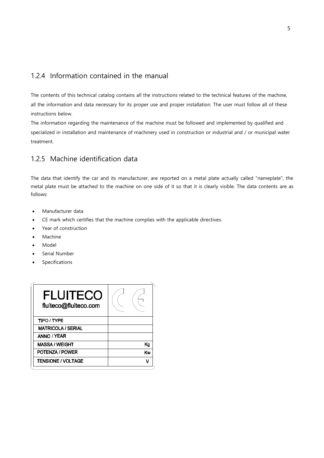#### <span id="page-6-0"></span>1.2.4 Information contained in the manual

The contents of this technical catalog contains all the instructions related to the technical features of the machine, all the information and data necessary for its proper use and proper installation. The user must follow all of these instructions below.

The information regarding the maintenance of the machine must be followed and implemented by qualified and specialized in installation and maintenance of machinery used in construction or industrial and / or municipal water treatment.

#### <span id="page-6-1"></span>1.2.5 Machine identification data

The data that identify the car and its manufacturer, are reported on a metal plate actually called "nameplate", the metal plate must be attached to the machine on one side of it so that it is clearly visible. The data contents are as follows:

- Manufacturer data
- CE mark which certifies that the machine complies with the applicable directives.
- Year of construction
- **Machine**
- Model
- Serial Number
- Specifications

| <b>FLUITECO</b><br>fluiteco@fluiteco.com |    |
|------------------------------------------|----|
| <b>TIPO / TYPE</b>                       |    |
| <b>MATRICOLA / SERIAL</b>                |    |
| ANNO / YEAR                              |    |
| <b>MASSA / WEIGHT</b>                    | Κø |
| <b>POTENZA / POWER</b>                   | Kw |
| <b>TENSIONE / VOLTAGE</b>                | v  |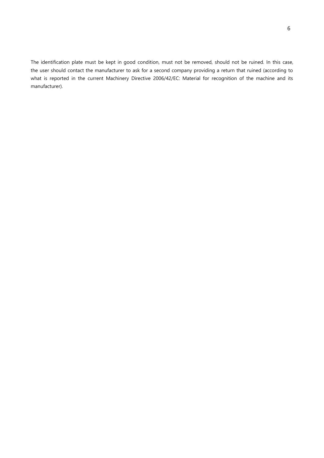The identification plate must be kept in good condition, must not be removed, should not be ruined. In this case, the user should contact the manufacturer to ask for a second company providing a return that ruined (according to what is reported in the current Machinery Directive 2006/42/EC: Material for recognition of the machine and its manufacturer).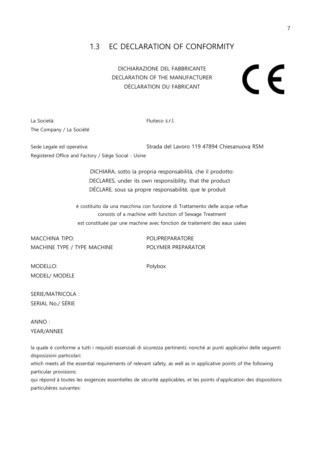#### <span id="page-8-0"></span>1.3 EC DECLARATION OF CONFORMITY

DICHIARAZIONE DEL FABBRICANTE DECLARATION OF THE MANUFACTURER DÉCLARATION DU FABRICANT

# $\epsilon$

La Società: El proposa de la Gosto de la Fluiteco s.r.l. The Company / La Société

Sede Legale ed operativa: Strada del Lavoro 119 47894 Chiesanuova RSM Registered Office and Factory / Siège Social - Usine

> DICHIARA, sotto la propria responsabilità, che il prodotto: DECLARES, under its own responsibility, that the product DÉCLARE, sous sa propre responsabilité, que le produit

è costituito da una macchina con funzione di Trattamento delle acque reflue consists of a machine with function of Sewage Treatment est constituée par une machine avec fonction de traitement des eaux usées

MACCHINA TIPO: POLIPREPARATORE MACHINE TYPE / TYPE MACHINE POLYMER PREPARATOR

MODELLO: Polybox MODEL/ MODELE

SERIE/MATRICOLA : SERIAL No./ SÉRIE

ANNO : YEAR/ANNEE

la quale è conforme a tutti i requisiti essenziali di sicurezza pertinenti; nonché ai punti applicativi delle seguenti disposizioni particolari:

which meets all the essential requirements of relevant safety, as well as in applicative points of the following particular provisions:

qui répond à toutes les exigences essentielles de sécurité applicables, et les points d'application des dispositions particulières suivantes: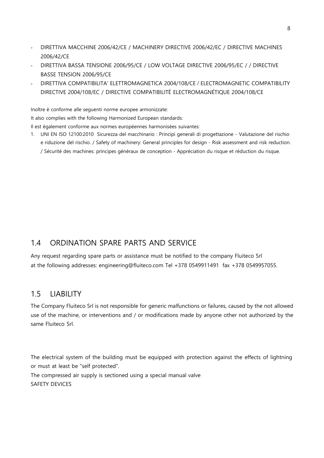- DIRETTIVA MACCHINE 2006/42/CE / MACHINERY DIRECTIVE 2006/42/EC / DIRECTIVE MACHINES 2006/42/CE
- DIRETTIVA BASSA TENSIONE 2006/95/CE / LOW VOLTAGE DIRECTIVE 2006/95/EC / / DIRECTIVE BASSE TENSION 2006/95/CE
- DIRETTIVA COMPATIBILITA' ELETTROMAGNETICA 2004/108/CE / ELECTROMAGNETIC COMPATIBILITY DIRECTIVE 2004/108/EC / DIRECTIVE COMPATIBILITÉ ELECTROMAGNÉTIQUE 2004/108/CE

Inoltre è conforme alle seguenti norme europee armonizzate:

It also complies with the following Harmonized European standards:

Il est également conforme aux normes européennes harmonisées suivantes:

1. UNI EN ISO 12100:2010 Sicurezza del macchinario : Principi generali di progettazione - Valutazione del rischio e riduzione del rischio. / Safety of machinery: General principles for design - Risk assessment and risk reduction. / Sécurité des machines: principes généraux de conception - Appréciation du risque et réduction du risque.

#### <span id="page-9-0"></span>1.4 ORDINATION SPARE PARTS AND SERVICE

Any request regarding spare parts or assistance must be notified to the company Fluiteco Srl at the following addresses: [engineering@fluiteco.com](mailto:engineering@fluiteco.com) Tel +378 0549911491 fax +378 0549957055.

#### <span id="page-9-1"></span>1.5 LIABILITY

The Company Fluiteco Srl is not responsible for generic malfunctions or failures, caused by the not allowed use of the machine, or interventions and / or modifications made by anyone other not authorized by the same Fluiteco Srl.

The electrical system of the building must be equipped with protection against the effects of lightning or must at least be "self protected".

The compressed air supply is sectioned using a special manual valve SAFETY DEVICES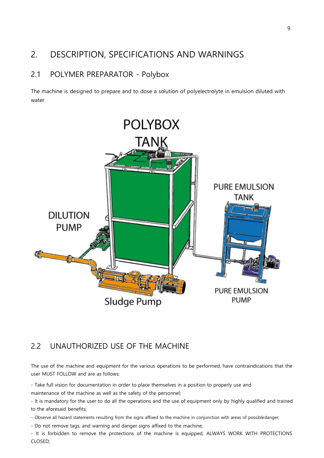#### <span id="page-10-0"></span>2. DESCRIPTION, SPECIFICATIONS AND WARNINGS

#### 2.1 POLYMER PREPARATOR - Polybox

The machine is designed to prepare and to dose a solution of polyelectrolyte in emulsion diluted with water



#### <span id="page-10-1"></span>2.2 UNAUTHORIZED USE OF THE MACHINE

The use of the machine and equipment for the various operations to be performed, have contraindications that the user MUST FOLLOW and are as follows:

- Take full vision for documentation in order to place themselves in a position to properly use and maintenance of the machine as well as the safety of the personnel;

- It is mandatory for the user to do all the operations and the use of equipment only by highly qualified and trained to the aforesaid benefits;

- Observe all hazard statements resulting from the signs affixed to the machine in conjunction with areas of possibledanger;

- Do not remove tags, and warning and danger signs affixed to the machine;

- It is forbidden to remove the protections of the machine is equipped, ALWAYS WORK WITH PROTECTIONS CLOSED;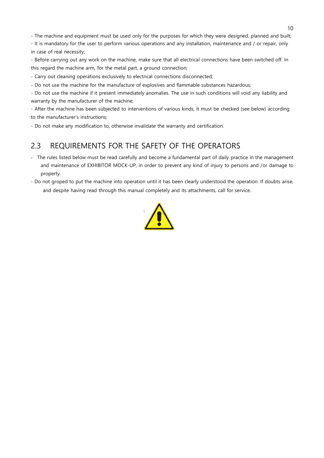- The machine and equipment must be used only for the purposes for which they were designed, planned and built;

- It is mandatory for the user to perform various operations and any installation, maintenance and / or repair, only in case of real necessity;

- Before carrying out any work on the machine, make sure that all electrical connections have been switched off. In this regard the machine arm, for the metal part, a ground connection;

- Carry out cleaning operations exclusively to electrical connections disconnected;

- Do not use the machine for the manufacture of explosives and flammable substances hazardous;

- Do not use the machine if it present immediately anomalies. The use in such conditions will void any liability and warranty by the manufacturer of the machine;

- After the machine has been subjected to interventions of various kinds, it must be checked (see below) according to the manufacturer's instructions;

- Do not make any modification to, otherwise invalidate the warranty and certification.

#### <span id="page-11-0"></span>2.3 REQUIREMENTS FOR THE SAFETY OF THE OPERATORS

- The rules listed below must be read carefully and become a fundamental part of daily practice in the management and maintenance of EXHIBITOR MOCK-UP, in order to prevent any kind of injury to persons and /or damage to property.
- Do not groped to put the machine into operation until it has been clearly understood the operation. If doubts arise, and despite having read through this manual completely and its attachments, call for service.

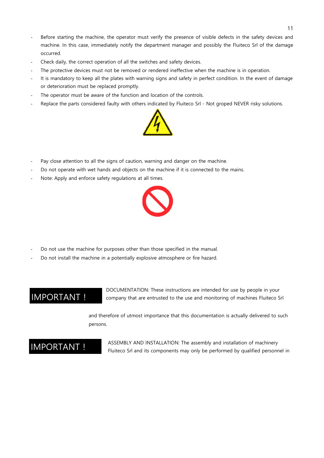- Before starting the machine, the operator must verify the presence of visible defects in the safety devices and machine. In this case, immediately notify the department manager and possibly the Fluiteco Srl of the damage occurred.
- Check daily, the correct operation of all the switches and safety devices.
- The protective devices must not be removed or rendered ineffective when the machine is in operation.
- It is mandatory to keep all the plates with warning signs and safety in perfect condition. In the event of damage or deterioration must be replaced promptly.
- The operator must be aware of the function and location of the controls.
- Replace the parts considered faulty with others indicated by Fluiteco Srl Not groped NEVER risky solutions.



- Pay close attention to all the signs of caution, warning and danger on the machine.
- Do not operate with wet hands and objects on the machine if it is connected to the mains.
- Note: Apply and enforce safety regulations at all times.



- Do not use the machine for purposes other than those specified in the manual.
- Do not install the machine in a potentially explosive atmosphere or fire hazard.

#### IMPORTANT !

DOCUMENTATION: These instructions are intended for use by people in your company that are entrusted to the use and monitoring of machines Fluiteco Srl

and therefore of utmost importance that this documentation is actually delivered to such persons.

#### IMPORTANT !

ASSEMBLY AND INSTALLATION: The assembly and installation of machinery Fluiteco Srl and its components may only be performed by qualified personnel in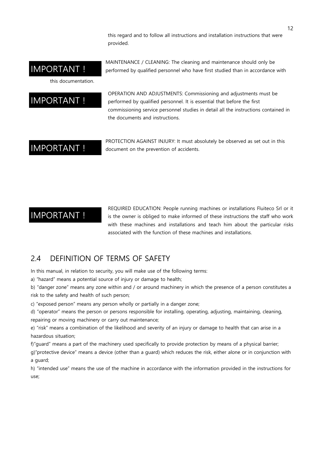this regard and to follow all instructions and installation instructions that were provided.

MAINTENANCE / CLEANING: The cleaning and maintenance should only be performed by qualified personnel who have first studied than in accordance with

#### IMPORTANT !

this documentation.

#### IMPORTANT !

OPERATION AND ADJUSTMENTS: Commissioning and adjustments must be performed by qualified personnel. It is essential that before the first commissioning service personnel studies in detail all the instructions contained in the documents and instructions.

#### IMPORTANT !

PROTECTION AGAINST INJURY: It must absolutely be observed as set out in this document on the prevention of accidents.

#### IMPORTANT !

REQUIRED EDUCATION: People running machines or installations Fluiteco Srl or it is the owner is obliged to make informed of these instructions the staff who work with these machines and installations and teach him about the particular risks associated with the function of these machines and installations.

#### <span id="page-13-0"></span>2.4 DEFINITION OF TERMS OF SAFETY

In this manual, in relation to security, you will make use of the following terms:

a) "hazard" means a potential source of injury or damage to health;

b) "danger zone" means any zone within and / or around machinery in which the presence of a person constitutes a risk to the safety and health of such person;

c) "exposed person" means any person wholly or partially in a danger zone;

d) "operator" means the person or persons responsible for installing, operating, adjusting, maintaining, cleaning, repairing or moving machinery or carry out maintenance;

e) "risk" means a combination of the likelihood and severity of an injury or damage to health that can arise in a hazardous situation;

f)"guard" means a part of the machinery used specifically to provide protection by means of a physical barrier;

g)"protective device" means a device (other than a guard) which reduces the risk, either alone or in conjunction with a guard;

h) "intended use" means the use of the machine in accordance with the information provided in the instructions for use;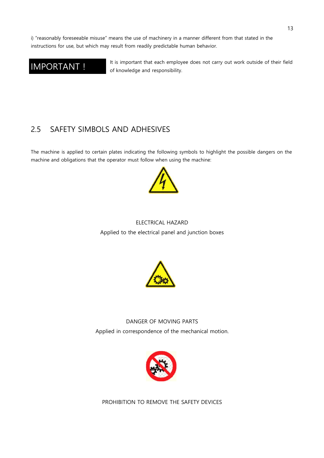i) "reasonably foreseeable misuse" means the use of machinery in a manner different from that stated in the instructions for use, but which may result from readily predictable human behavior.

#### IMPORTANT !

It is important that each employee does not carry out work outside of their field of knowledge and responsibility.

#### <span id="page-14-0"></span>2.5 SAFETY SIMBOLS AND ADHESIVES

The machine is applied to certain plates indicating the following symbols to highlight the possible dangers on the machine and obligations that the operator must follow when using the machine:



#### ELECTRICAL HAZARD Applied to the electrical panel and junction boxes



DANGER OF MOVING PARTS Applied in correspondence of the mechanical motion.



PROHIBITION TO REMOVE THE SAFETY DEVICES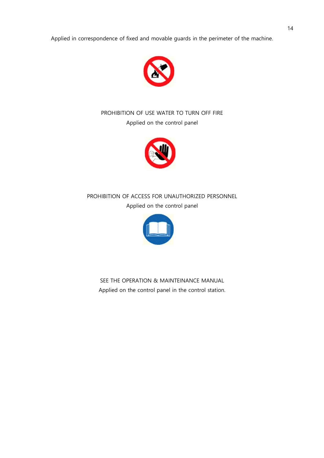Applied in correspondence of fixed and movable guards in the perimeter of the machine.



#### PROHIBITION OF USE WATER TO TURN OFF FIRE Applied on the control panel



PROHIBITION OF ACCESS FOR UNAUTHORIZED PERSONNEL Applied on the control panel



SEE THE OPERATION & MAINTEINANCE MANUAL Applied on the control panel in the control station.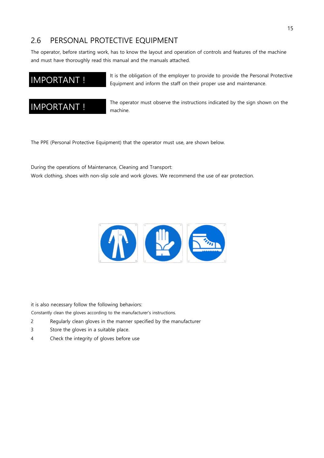#### <span id="page-16-0"></span>2.6 PERSONAL PROTECTIVE EQUIPMENT

The operator, before starting work, has to know the layout and operation of controls and features of the machine and must have thoroughly read this manual and the manuals attached.

#### IMPORTANT !

It is the obligation of the employer to provide to provide the Personal Protective Equipment and inform the staff on their proper use and maintenance.



The operator must observe the instructions indicated by the sign shown on the machine.

The PPE (Personal Protective Equipment) that the operator must use, are shown below.

During the operations of Maintenance, Cleaning and Transport:

Work clothing, shoes with non-slip sole and work gloves. We recommend the use of ear protection.



it is also necessary follow the following behaviors:

Constantly clean the gloves according to the manufacturer's instructions.

- 2 Regularly clean gloves in the manner specified by the manufacturer
- 3 Store the gloves in a suitable place.
- 4 Check the integrity of gloves before use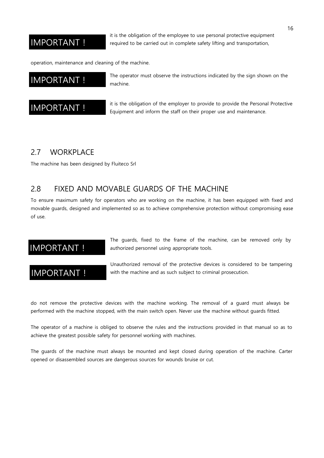#### IMPORTANT !

it is the obligation of the employee to use personal protective equipment required to be carried out in complete safety lifting and transportation,

operation, maintenance and cleaning of the machine.

#### IMPORTANT !

The operator must observe the instructions indicated by the sign shown on the machine.



it is the obligation of the employer to provide to provide the Personal Protective Equipment and inform the staff on their proper use and maintenance.

#### <span id="page-17-0"></span>2.7 WORKPLACE

The machine has been designed by Fluiteco Srl

#### <span id="page-17-1"></span>2.8 FIXED AND MOVABLE GUARDS OF THE MACHINE

To ensure maximum safety for operators who are working on the machine, it has been equipped with fixed and movable guards, designed and implemented so as to achieve comprehensive protection without compromising ease of use.

#### IMPORTANT !

#### IMPORTANT !

The guards, fixed to the frame of the machine, can be removed only by authorized personnel using appropriate tools.

Unauthorized removal of the protective devices is considered to be tampering with the machine and as such subject to criminal prosecution.

do not remove the protective devices with the machine working. The removal of a guard must always be performed with the machine stopped, with the main switch open. Never use the machine without guards fitted.

The operator of a machine is obliged to observe the rules and the instructions provided in that manual so as to achieve the greatest possible safety for personnel working with machines.

The guards of the machine must always be mounted and kept closed during operation of the machine. Carter opened or disassembled sources are dangerous sources for wounds bruise or cut.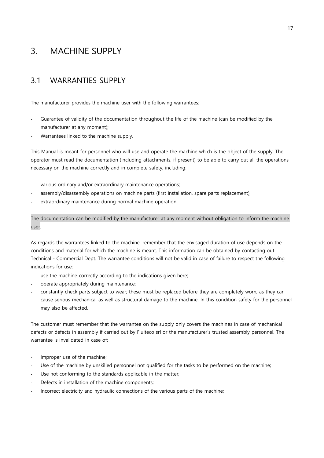#### <span id="page-18-0"></span>3. MACHINE SUPPLY

#### <span id="page-18-1"></span>3.1 WARRANTIES SUPPLY

The manufacturer provides the machine user with the following warrantees:

- Guarantee of validity of the documentation throughout the life of the machine (can be modified by the manufacturer at any moment);
- Warrantees linked to the machine supply.

This Manual is meant for personnel who will use and operate the machine which is the object of the supply. The operator must read the documentation (including attachments, if present) to be able to carry out all the operations necessary on the machine correctly and in complete safety, including:

- various ordinary and/or extraordinary maintenance operations;
- assembly/disassembly operations on machine parts (first installation, spare parts replacement);
- extraordinary maintenance during normal machine operation.

user. The documentation can be modified by the manufacturer at any moment without obligation to inform the machine

As regards the warrantees linked to the machine, remember that the envisaged duration of use depends on the conditions and material for which the machine is meant. This information can be obtained by contacting out Technical - Commercial Dept. The warrantee conditions will not be valid in case of failure to respect the following indications for use:

- use the machine correctly according to the indications given here;
- operate appropriately during maintenance;
- constantly check parts subject to wear; these must be replaced before they are completely worn, as they can cause serious mechanical as well as structural damage to the machine. In this condition safety for the personnel may also be affected.

The customer must remember that the warrantee on the supply only covers the machines in case of mechanical defects or defects in assembly if carried out by Fluiteco srl or the manufacturer's trusted assembly personnel. The warrantee is invalidated in case of:

- Improper use of the machine;
- Use of the machine by unskilled personnel not qualified for the tasks to be performed on the machine;
- Use not conforming to the standards applicable in the matter;
- Defects in installation of the machine components;
- Incorrect electricity and hydraulic connections of the various parts of the machine;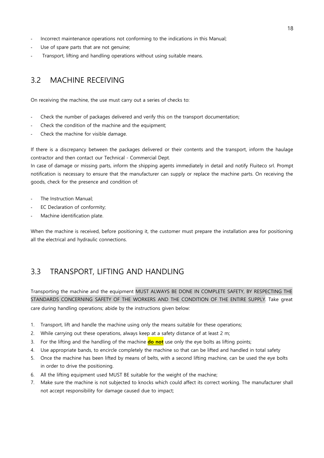- Incorrect maintenance operations not conforming to the indications in this Manual;
- Use of spare parts that are not genuine;
- Transport, lifting and handling operations without using suitable means.

#### <span id="page-19-0"></span>3.2 MACHINE RECEIVING

On receiving the machine, the use must carry out a series of checks to:

- Check the number of packages delivered and verify this on the transport documentation;
- Check the condition of the machine and the equipment;
- Check the machine for visible damage.

If there is a discrepancy between the packages delivered or their contents and the transport, inform the haulage contractor and then contact our Technical - Commercial Dept.

In case of damage or missing parts, inform the shipping agents immediately in detail and notify Fluiteco srl. Prompt notification is necessary to ensure that the manufacturer can supply or replace the machine parts. On receiving the goods, check for the presence and condition of:

- The Instruction Manual;
- EC Declaration of conformity;
- Machine identification plate.

When the machine is received, before positioning it, the customer must prepare the installation area for positioning all the electrical and hydraulic connections.

#### <span id="page-19-1"></span>3.3 TRANSPORT, LIFTING AND HANDLING

Transporting the machine and the equipment MUST ALWAYS BE DONE IN COMPLETE SAFETY, BY RESPECTING THE STANDARDS CONCERNING SAFETY OF THE WORKERS AND THE CONDITION OF THE ENTIRE SUPPLY. Take great care during handling operations; abide by the instructions given below:

- 1. Transport, lift and handle the machine using only the means suitable for these operations;
- 2. While carrying out these operations, always keep at a safety distance of at least 2 m;
- 3. For the lifting and the handling of the machine **do not** use only the eye bolts as lifting points;
- 4. Use appropriate bands, to encircle completely the machine so that can be lifted and handled in total safety
- 5. Once the machine has been lifted by means of belts, with a second lifting machine, can be used the eye bolts in order to drive the positioning.
- 6. All the lifting equipment used MUST BE suitable for the weight of the machine;
- 7. Make sure the machine is not subjected to knocks which could affect its correct working. The manufacturer shall not accept responsibility for damage caused due to impact;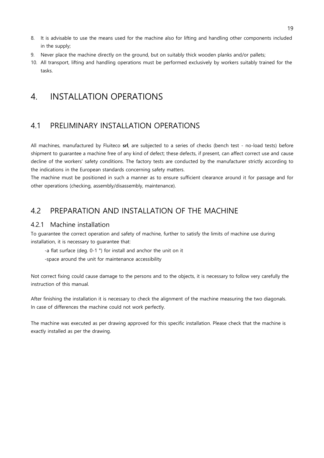- 8. It is advisable to use the means used for the machine also for lifting and handling other components included in the supply;
- 9. Never place the machine directly on the ground, but on suitably thick wooden planks and/or pallets;
- 10. All transport, lifting and handling operations must be performed exclusively by workers suitably trained for the tasks.

#### <span id="page-20-0"></span>4. INSTALLATION OPERATIONS

#### <span id="page-20-1"></span>4.1 PRELIMINARY INSTALLATION OPERATIONS

All machines, manufactured by Fluiteco **srl**, are subjected to a series of checks (bench test - no-load tests) before shipment to guarantee a machine free of any kind of defect; these defects, if present, can affect correct use and cause decline of the workers' safety conditions. The factory tests are conducted by the manufacturer strictly according to the indications in the European standards concerning safety matters.

The machine must be positioned in such a manner as to ensure sufficient clearance around it for passage and for other operations (checking, assembly/disassembly, maintenance).

#### <span id="page-20-2"></span>4.2 PREPARATION AND INSTALLATION OF THE MACHINE

#### 4.2.1 Machine installation

To guarantee the correct operation and safety of machine, further to satisfy the limits of machine use during installation, it is necessary to guarantee that:

-a flat surface (deg. 0-1 °) for install and anchor the unit on it

-space around the unit for maintenance accessibility

Not correct fixing could cause damage to the persons and to the objects, it is necessary to follow very carefully the instruction of this manual.

After finishing the installation it is necessary to check the alignment of the machine measuring the two diagonals. In case of differences the machine could not work perfectly.

The machine was executed as per drawing approved for this specific installation. Please check that the machine is exactly installed as per the drawing.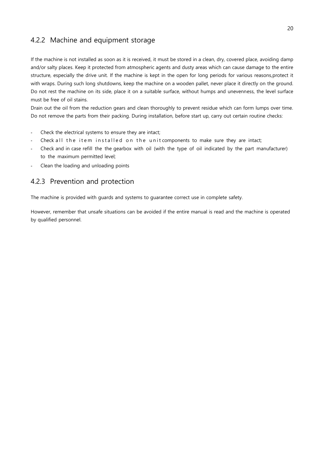#### <span id="page-21-0"></span>4.2.2 Machine and equipment storage

If the machine is not installed as soon as it is received, it must be stored in a clean, dry, covered place, avoiding damp and/or salty places. Keep it protected from atmospheric agents and dusty areas which can cause damage to the entire structure, especially the drive unit. If the machine is kept in the open for long periods for various reasons,protect it with wraps. During such long shutdowns, keep the machine on a wooden pallet, never place it directly on the ground. Do not rest the machine on its side, place it on a suitable surface, without humps and unevenness, the level surface must be free of oil stains.

Drain out the oil from the reduction gears and clean thoroughly to prevent residue which can form lumps over time. Do not remove the parts from their packing. During installation, before start up, carry out certain routine checks:

- Check the electrical systems to ensure they are intact;
- Check all the item installed on the unit components to make sure they are intact;
- Check and in case refill the the gearbox with oil (with the type of oil indicated by the part manufacturer) to the maximum permitted level;
- Clean the loading and unloading points

#### <span id="page-21-1"></span>4.2.3 Prevention and protection

The machine is provided with guards and systems to guarantee correct use in complete safety.

However, remember that unsafe situations can be avoided if the entire manual is read and the machine is operated by qualified personnel.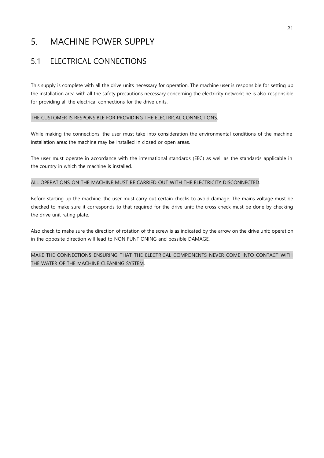#### <span id="page-22-0"></span>5. MACHINE POWER SUPPLY

#### <span id="page-22-1"></span>5.1 ELECTRICAL CONNECTIONS

This supply is complete with all the drive units necessary for operation. The machine user is responsible for setting up the installation area with all the safety precautions necessary concerning the electricity network; he is also responsible for providing all the electrical connections for the drive units.

#### THE CUSTOMER IS RESPONSIBLE FOR PROVIDING THE ELECTRICAL CONNECTIONS.

While making the connections, the user must take into consideration the environmental conditions of the machine installation area; the machine may be installed in closed or open areas.

The user must operate in accordance with the international standards (EEC) as well as the standards applicable in the country in which the machine is installed.

#### ALL OPERATIONS ON THE MACHINE MUST BE CARRIED OUT WITH THE ELECTRICITY DISCONNECTED.

Before starting up the machine, the user must carry out certain checks to avoid damage. The mains voltage must be checked to make sure it corresponds to that required for the drive unit; the cross check must be done by checking the drive unit rating plate.

Also check to make sure the direction of rotation of the screw is as indicated by the arrow on the drive unit; operation in the opposite direction will lead to NON FUNTIONING and possible DAMAGE.

MAKE THE CONNECTIONS ENSURING THAT THE ELECTRICAL COMPONENTS NEVER COME INTO CONTACT WITH THE WATER OF THE MACHINE CLEANING SYSTEM.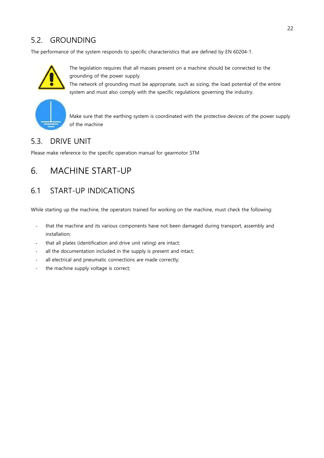#### <span id="page-23-0"></span>5.2. GROUNDING

The performance of the system responds to specific characteristics that are defined by EN 60204-1.



The legislation requires that all masses present on a machine should be connected to the grounding of the power supply.

The network of grounding must be appropriate, such as sizing, the load potential of the entire system and must also comply with the specific regulations governing the industry.



Make sure that the earthing system is coordinated with the protective devices of the power supply of the machine

#### 5.3. DRIVE UNIT

Please make reference to the specific operation manual for gearmotor STM

#### <span id="page-23-1"></span>6. MACHINE START-UP

#### <span id="page-23-2"></span>6.1 START-UP INDICATIONS

While starting up the machine, the operators trained for working on the machine, must check the following:

- that the machine and its various components have not been damaged during transport, assembly and installation;
- that all plates (identification and drive unit rating) are intact;
- all the documentation included in the supply is present and intact;
- all electrical and pneumatic connections are made correctly;
- the machine supply voltage is correct;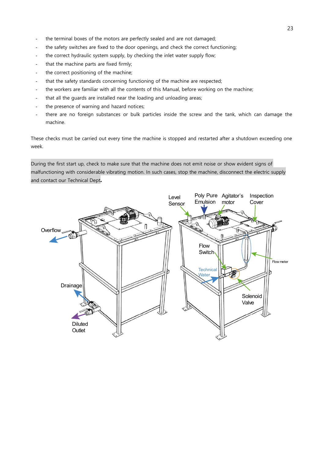- the terminal boxes of the motors are perfectly sealed and are not damaged;
- the safety switches are fixed to the door openings, and check the correct functioning;
- the correct hydraulic system supply, by checking the inlet water supply flow;
- that the machine parts are fixed firmly;
- the correct positioning of the machine;
- that the safety standards concerning functioning of the machine are respected;
- the workers are familiar with all the contents of this Manual, before working on the machine;
- that all the guards are installed near the loading and unloading areas;
- the presence of warning and hazard notices;
- there are no foreign substances or bulk particles inside the screw and the tank, which can damage the machine.

These checks must be carried out every time the machine is stopped and restarted after a shutdown exceeding one week.

malfunctioning with considerable vibrating motion. In such cases, stop the machine, disconnect the electric supply and contact our Technical Dept*.* During the first start up, check to make sure that the machine does not emit noise or show evident signs of

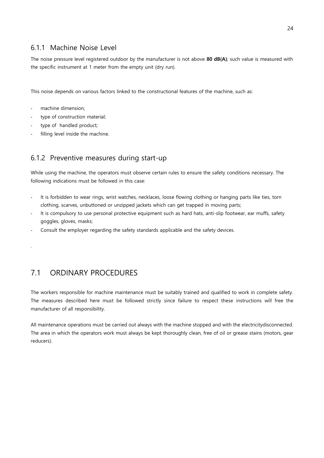#### <span id="page-25-0"></span>6.1.1 Machine Noise Level

The noise pressure level registered outdoor by the manufacturer is not above **80 dB(A)**; such value is measured with the specific instrument at 1 meter from the empty unit (dry run).

This noise depends on various factors linked to the constructional features of the machine, such as:

- machine dimension;
- type of construction material;
- type of handled product;
- filling level inside the machine.

#### 6.1.2 Preventive measures during start-up

While using the machine, the operators must observe certain rules to ensure the safety conditions necessary. The following indications must be followed in this case:

- It is forbidden to wear rings, wrist watches, necklaces, loose flowing clothing or hanging parts like ties, torn clothing, scarves, unbuttoned or unzipped jackets which can get trapped in moving parts;
- It is compulsory to use personal protective equipment such as hard hats, anti-slip footwear, ear muffs, safety goggles, gloves, masks;
- Consult the employer regarding the safety standards applicable and the safety devices.

#### .

#### 7.1 ORDINARY PROCEDURES

The workers responsible for machine maintenance must be suitably trained and qualified to work in complete safety. The measures described here must be followed strictly since failure to respect these instructions will free the manufacturer of all responsibility.

All maintenance operations must be carried out always with the machine stopped and with the electricitydisconnected. The area in which the operators work must always be kept thoroughly clean, free of oil or grease stains (motors, gear reducers).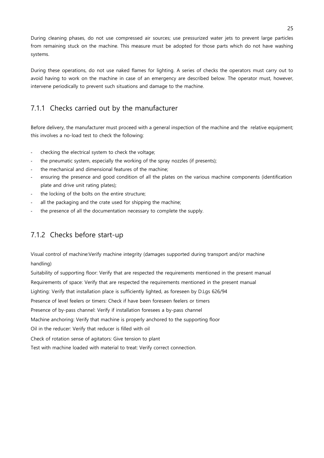During cleaning phases, do not use compressed air sources; use pressurized water jets to prevent large particles from remaining stuck on the machine. This measure must be adopted for those parts which do not have washing systems.

During these operations, do not use naked flames for lighting. A series of checks the operators must carry out to avoid having to work on the machine in case of an emergency are described below. The operator must, however, intervene periodically to prevent such situations and damage to the machine.

#### <span id="page-26-0"></span>7.1.1 Checks carried out by the manufacturer

Before delivery, the manufacturer must proceed with a general inspection of the machine and the relative equipment; this involves a no-load test to check the following:

- checking the electrical system to check the voltage;
- the pneumatic system, especially the working of the spray nozzles (if presents);
- the mechanical and dimensional features of the machine;
- ensuring the presence and good condition of all the plates on the various machine components (identification plate and drive unit rating plates);
- the locking of the bolts on the entire structure;
- all the packaging and the crate used for shipping the machine;
- the presence of all the documentation necessary to complete the supply.

#### <span id="page-26-1"></span>7.1.2 Checks before start-up

Visual control of machine:Verify machine integrity (damages supported during transport and/or machine handling)

Suitability of supporting floor: Verify that are respected the requirements mentioned in the present manual Requirements of space: Verify that are respected the requirements mentioned in the present manual Lighting: Verify that installation place is sufficiently lighted, as foreseen by D.Lgs 626/94 Presence of level feelers or timers: Check if have been foreseen feelers or timers Presence of by-pass channel: Verify if installation foresees a by-pass channel Machine anchoring: Verify that machine is properly anchored to the supporting floor Oil in the reducer: Verify that reducer is filled with oil Check of rotation sense of agitators: Give tension to plant Test with machine loaded with material to treat: Verify correct connection.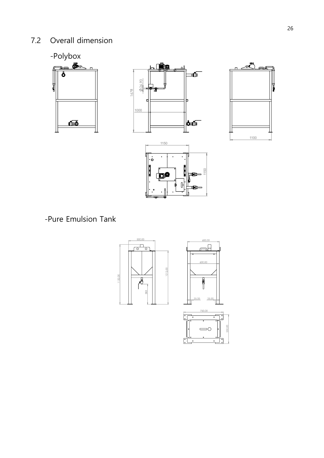#### <span id="page-27-0"></span>7.2 Overall dimension









-Pure Emulsion Tank



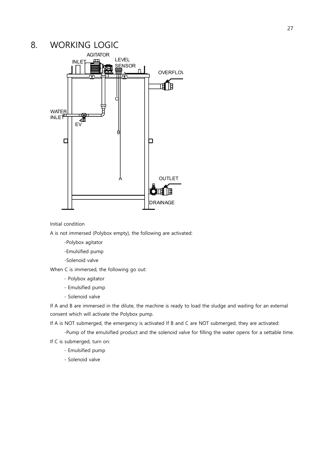#### <span id="page-28-0"></span>8. WORKING LOGIC



Initial condition

A is not immersed (Polybox empty), the following are activated:

- -Polybox agitator
- -Emulsified pump
- -Solenoid valve

When C is immersed, the following go out:

- Polybox agitator
- Emulsified pump
- Solenoid valve

If A and B are immersed in the dilute, the machine is ready to load the sludge and waiting for an external consent which will activate the Polybox pump.

If A is NOT submerged, the emergency is activated If B and C are NOT submerged, they are activated:

-Pump of the emulsified product and the solenoid valve for filling the water opens for a settable time.

If C is submerged, turn on:

- Emulsified pump
- Solenoid valve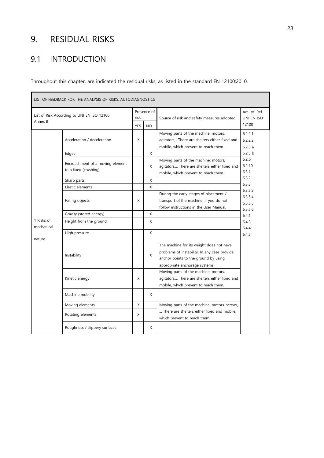#### <span id="page-29-0"></span>9. RESIDUAL RISKS

#### <span id="page-29-1"></span>9.1 INTRODUCTION

Throughout this chapter, are indicated the residual risks, as listed in the standard EN 12100:2010.

| LIST OF FEEDBACK FOR THE ANALYSIS OF RISKS: AUTODIAGNOSTICS |                                                           |            |             |                                                                                                                                                                    |                                                          |  |  |  |
|-------------------------------------------------------------|-----------------------------------------------------------|------------|-------------|--------------------------------------------------------------------------------------------------------------------------------------------------------------------|----------------------------------------------------------|--|--|--|
| Annex B                                                     | List of Risk According to UNI EN ISO 12100                |            | Presence of | Source of risk and safety measures adopted                                                                                                                         | Art. of Ref.<br>UNI EN ISO                               |  |  |  |
|                                                             |                                                           | <b>YES</b> | <b>NO</b>   |                                                                                                                                                                    | 12100                                                    |  |  |  |
|                                                             | Acceleration / deceleration                               | X          |             | Moving parts of the machine: motors,<br>agitators, There are shelters either fixed and<br>mobile, which prevent to reach them.                                     | 6.2.2.1<br>6.2.2.2<br>6.2.3a                             |  |  |  |
|                                                             | Edges                                                     |            | X           |                                                                                                                                                                    | 6.2.3 h                                                  |  |  |  |
|                                                             | Encroachment of a moving element<br>to a fixed (crushing) |            | X           | Moving parts of the machine: motors,<br>agitators, There are shelters either fixed and<br>mobile, which prevent to reach them.                                     | 6.2.6<br>6.2.10<br>6.3.1                                 |  |  |  |
|                                                             | Sharp parts                                               |            | X           |                                                                                                                                                                    | 6.3.2<br>6.3.3                                           |  |  |  |
|                                                             | Elastic elements                                          |            | X           |                                                                                                                                                                    | 6.3.5.2                                                  |  |  |  |
|                                                             | Falling objects                                           | X          |             | During the early stages of placement /<br>transport of the machine, if you do not<br>follow instructions in the User Manual.                                       | 6.3.5.4<br>6.3.5.5<br>6.3.5.6<br>6.4.1<br>6.4.3<br>6.4.4 |  |  |  |
|                                                             | Gravity (stored energy)                                   |            | X           |                                                                                                                                                                    |                                                          |  |  |  |
| 1 Risks of<br>mechanical                                    | Height from the ground                                    |            | X           |                                                                                                                                                                    |                                                          |  |  |  |
| nature                                                      | High pressure                                             |            | X           |                                                                                                                                                                    | 6.4.5                                                    |  |  |  |
|                                                             | Instability                                               |            | X           | The machine for its weight does not have<br>problems of instability. In any case provide<br>anchor points to the ground by using<br>appropriate anchorage systems. |                                                          |  |  |  |
|                                                             | Kinetic energy                                            | X          |             | Moving parts of the machine: motors,<br>agitators, There are shelters either fixed and<br>mobile, which prevent to reach them.                                     |                                                          |  |  |  |
|                                                             | Machine mobility                                          |            | X           |                                                                                                                                                                    |                                                          |  |  |  |
|                                                             | Moving elements                                           | X          |             | Moving parts of the machine: motors, screws,                                                                                                                       |                                                          |  |  |  |
|                                                             | Rotating elements                                         | X          |             | There are shelters either fixed and mobile,<br>which prevent to reach them.                                                                                        |                                                          |  |  |  |
|                                                             | Roughness / slippery surfaces                             |            | X           |                                                                                                                                                                    |                                                          |  |  |  |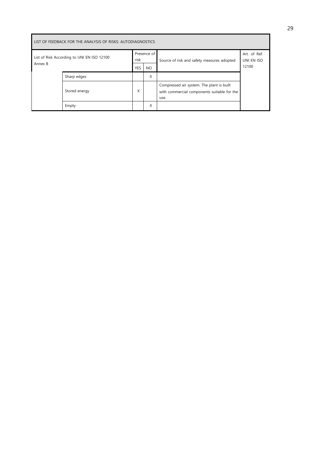| LIST OF FEEDBACK FOR THE ANALYSIS OF RISKS: AUTODIAGNOSTICS |               |                                   |           |                                                                                                  |                                     |  |  |  |  |
|-------------------------------------------------------------|---------------|-----------------------------------|-----------|--------------------------------------------------------------------------------------------------|-------------------------------------|--|--|--|--|
| List of Risk According to UNI EN ISO 12100<br>Annex B       |               | Presence of<br>risk<br><b>YES</b> |           | Source of risk and safety measures adopted                                                       | Art. of Ref.<br>UNI EN ISO<br>12100 |  |  |  |  |
|                                                             |               |                                   | <b>NO</b> |                                                                                                  |                                     |  |  |  |  |
|                                                             | Sharp edges   |                                   | Χ         |                                                                                                  |                                     |  |  |  |  |
|                                                             | Stored energy | X                                 |           | Compressed air system. The plant is built<br>with commercial components suitable for the<br>use. |                                     |  |  |  |  |
|                                                             | Empty         |                                   | X         |                                                                                                  |                                     |  |  |  |  |

Ē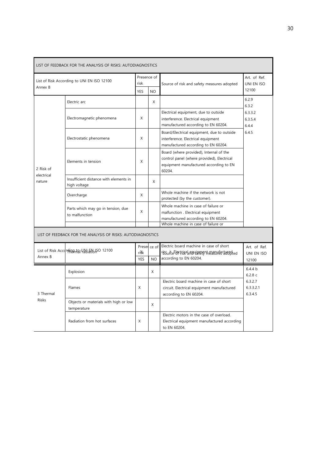| LIST OF FEEDBACK FOR THE ANALYSIS OF RISKS: AUTODIAGNOSTICS |                                                             |                     |                           |                                                                                                                                                        |                                     |  |  |  |  |
|-------------------------------------------------------------|-------------------------------------------------------------|---------------------|---------------------------|--------------------------------------------------------------------------------------------------------------------------------------------------------|-------------------------------------|--|--|--|--|
| List of Risk According to UNI EN ISO 12100                  |                                                             | Presence of<br>risk |                           | Source of risk and safety measures adopted                                                                                                             | Art. of Ref.<br>UNI EN ISO          |  |  |  |  |
| Annex B                                                     |                                                             |                     | <b>NO</b>                 |                                                                                                                                                        | 12100                               |  |  |  |  |
|                                                             | Electric arc                                                |                     | X                         |                                                                                                                                                        | 6.2.9<br>6.3.2                      |  |  |  |  |
|                                                             | Electromagnetic phenomena                                   | X                   |                           | Electrical equipment, due to outside<br>interference. Electrical equipment<br>manufactured according to EN 60204.                                      | 6.3.3.2<br>6.3.5.4<br>6.4.4         |  |  |  |  |
|                                                             | Electrostatic phenomena                                     | X                   |                           | Board/Electrical equipment, due to outside<br>interference. Electrical equipment<br>manufactured according to EN 60204.                                | 6.4.5                               |  |  |  |  |
| 2 Risk of                                                   | Elements in tension                                         | X                   |                           | Board (where provided), Internal of the<br>control panel (where provided), Electrical<br>equipment manufactured according to EN<br>60204.              |                                     |  |  |  |  |
| electrical<br>nature                                        | Insufficient distance with elements in<br>high voltage      |                     | X                         |                                                                                                                                                        |                                     |  |  |  |  |
|                                                             | Overcharge                                                  | X                   |                           | Whole machine if the network is not<br>protected (by the customer).                                                                                    |                                     |  |  |  |  |
|                                                             | Parts which may go in tension, due<br>to malfunction        | X                   |                           | Whole machine in case of failure or<br>malfunction. Electrical equipment<br>manufactured according to EN 60204.<br>Whole machine in case of failure or |                                     |  |  |  |  |
|                                                             | LIST OF FEEDBACK FOR THE ANALYSIS OF RISKS: AUTODIAGNOSTICS |                     |                           |                                                                                                                                                        |                                     |  |  |  |  |
| List of Risk According hall UNIEN KO 12100<br>Annex B       |                                                             | rišk<br><b>YES</b>  | Preser ce of<br><b>NO</b> | Electric board machine in case of short<br>Groute Bectrical requirement reasoned cauceded<br>according to EN 60204.                                    | Art. of Ref.<br>UNI EN ISO<br>12100 |  |  |  |  |
|                                                             | Explosion                                                   |                     | X                         |                                                                                                                                                        | 6.4.4 b<br>6.2.8c                   |  |  |  |  |
| 3 Thermal                                                   | Flames                                                      | X                   |                           | Electric board machine in case of short<br>circuit. Electrical equipment manufactured<br>according to EN 60204.                                        | 6.3.2.7<br>6.3.3.2.1<br>6.3.4.5     |  |  |  |  |
| <b>Risks</b>                                                | Objects or materials with high or low<br>temperature        |                     | X                         |                                                                                                                                                        |                                     |  |  |  |  |
|                                                             | Radiation from hot surfaces                                 | X                   |                           | Electric motors in the case of overload.<br>Electrical equipment manufactured according<br>to EN 60204.                                                |                                     |  |  |  |  |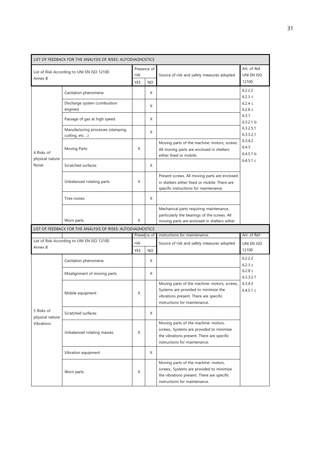|                                                                               | LIST OF FEEDBACK FOR THE ANALYSIS OF RISKS: AUTODIAGNOSTICS |                     |              |                                                                                                                                                                  |                                                             |
|-------------------------------------------------------------------------------|-------------------------------------------------------------|---------------------|--------------|------------------------------------------------------------------------------------------------------------------------------------------------------------------|-------------------------------------------------------------|
| List of Risk According to UNI EN ISO 12100<br>Annex B<br>Cavitation phenomena |                                                             | Presence of<br>risk |              | Source of risk and safety measures adopted                                                                                                                       | Art. of Ref.<br>UNI EN ISO                                  |
|                                                                               |                                                             | YES                 | <b>NO</b>    |                                                                                                                                                                  | 12100                                                       |
|                                                                               |                                                             |                     | X            |                                                                                                                                                                  | 6.2.2.2<br>6.2.3c<br>6.2.4c<br>6.2.8c<br>6.3.1<br>6.3.2.1 b |
|                                                                               | Discharge system (combustion<br>engines)                    |                     | X            |                                                                                                                                                                  |                                                             |
|                                                                               | Passage of gas at high speed                                |                     | X            |                                                                                                                                                                  |                                                             |
|                                                                               | Manufacturing processes (stamping,<br>cutting, etc )        |                     | X            |                                                                                                                                                                  | 6.3.2.5.1<br>6.3.3.2.1                                      |
| 4 Risks of<br>physical nature:                                                | Moving Parts                                                | X                   |              | Moving parts of the machine: motors, screws.<br>All moving parts are enclosed in shelters<br>either fixed or mobile.                                             | 6.3.4.2<br>6.4.3<br>6.4.5.1 b                               |
| Noise                                                                         | Scratched surfaces                                          |                     | X            |                                                                                                                                                                  | 6.4.5.1c                                                    |
|                                                                               | Unbalanced rotating parts                                   | X                   |              | Present screws. All moving parts are enclosed<br>in shelters either fixed or mobile. There are<br>specific instructions for maintenance.                         |                                                             |
|                                                                               | Tires noises                                                |                     | X            |                                                                                                                                                                  |                                                             |
|                                                                               | Worn parts                                                  | X                   |              | Mechanical parts requiring maintenance,<br>particularly the bearings of the screws. All<br>moving parts are enclosed in shelters either                          |                                                             |
|                                                                               | LIST OF FEEDBACK FOR THE ANALYSIS OF RISKS: AUTODIAGNOSTICS |                     |              |                                                                                                                                                                  |                                                             |
|                                                                               | List of Risk According to UNI EN ISO 12100                  |                     | Preser ce of | instructions for maintenance.                                                                                                                                    | Art. of Ref.                                                |
| Annex B                                                                       |                                                             | risk<br>YES         | NO           | Source of risk and safety measures adopted                                                                                                                       | UNI EN ISO<br>12100                                         |
|                                                                               | Cavitation phenomena                                        |                     | X            |                                                                                                                                                                  | 6.2.2.2<br>6.2.3c                                           |
|                                                                               | Misalignment of moving parts                                |                     | X            |                                                                                                                                                                  | 6.2.8c<br>6.3.3.2.1                                         |
|                                                                               | Mobile equipment                                            | X                   |              | Moving parts of the machine: motors, screws,<br>Systems are provided to minimize the<br>vibrations present. There are specific<br>instructions for maintenance.  | 6.3.4.3<br>6.4.5.1c                                         |
| 5 Risks of<br>physical nature:                                                | Scratched surfaces                                          |                     | Χ            |                                                                                                                                                                  |                                                             |
| <b>Vibrations</b>                                                             | Unbalanced rotating masses                                  | X                   |              | Moving parts of the machine: motors,<br>screws,. Systems are provided to minimize<br>the vibrations present. There are specific<br>instructions for maintenance. |                                                             |
|                                                                               | Vibration equipment                                         |                     | Χ            |                                                                                                                                                                  |                                                             |
|                                                                               | Worn parts                                                  | X                   |              | Moving parts of the machine: motors,<br>screws,. Systems are provided to minimize<br>the vibrations present. There are specific<br>instructions for maintenance. |                                                             |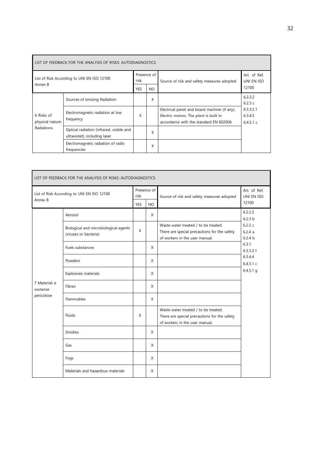| LIST OF FEEDBACK FOR THE ANALYSIS OF RISKS: AUTODIAGNOSTICS |                                                                           |                     |     |                                                                                                                                   |                                  |  |  |  |
|-------------------------------------------------------------|---------------------------------------------------------------------------|---------------------|-----|-----------------------------------------------------------------------------------------------------------------------------------|----------------------------------|--|--|--|
| List of Risk According to UNI EN ISO 12100                  |                                                                           | Presence of<br>risk |     | Source of risk and safety measures adopted                                                                                        | Art. of Ref.<br>UNI EN ISO       |  |  |  |
| Annex B                                                     |                                                                           | <b>YES</b>          | NO. |                                                                                                                                   | 12100                            |  |  |  |
|                                                             | Sources of Ionizing Radiation                                             |                     | X   |                                                                                                                                   | 6.2.2.2<br>6.2.3c                |  |  |  |
| 6 Risks of<br>physical nature:                              | Electromagnetic radiation at low<br>frequency                             | X                   |     | Electrical panel and board machine (if any).<br>Electric motors. The plant is built in<br>accordance with the standard EN 602004. | 6.3.3.2.1<br>6.3.4.5<br>6.4.5.1c |  |  |  |
| Radiations                                                  | Optical radiation (infrared, visible and<br>ultraviolet), including laser |                     | X   |                                                                                                                                   |                                  |  |  |  |
|                                                             | Electromagnetic radiation of radio<br>frequencies                         |                     | X   |                                                                                                                                   |                                  |  |  |  |

| LIST OF FEEDBACK FOR THE ANALYSIS OF RISKS: AUTODIAGNOSTICS |                                                                |                     |           |                                                                                                                        |                             |  |  |  |
|-------------------------------------------------------------|----------------------------------------------------------------|---------------------|-----------|------------------------------------------------------------------------------------------------------------------------|-----------------------------|--|--|--|
| List of Risk According to UNI EN ISO 12100                  |                                                                | Presence of<br>risk |           | Source of risk and safety measures adopted                                                                             | Art. of Ref.<br>UNI EN ISO  |  |  |  |
| Annex B                                                     |                                                                | <b>YES</b>          | <b>NO</b> |                                                                                                                        | 12100                       |  |  |  |
|                                                             | Aerosol                                                        |                     | X         |                                                                                                                        | 6.2.2.2<br>6.2.3 h          |  |  |  |
|                                                             | Biological and microbiological agents<br>(viruses or bacteria) | $\mathsf{X}$        |           | Waste water treated / to be treated.<br>There are special precautions for the safety<br>of workers in the user manual. | 6.2.3c<br>6.2.4a<br>6.2.4 h |  |  |  |
|                                                             | Fuels substances                                               |                     | X         |                                                                                                                        | 6.3.1<br>6.3.3.2.1          |  |  |  |
|                                                             | Powders                                                        |                     | X         |                                                                                                                        | 6.3.4.4<br>6.4.5.1c         |  |  |  |
|                                                             | Explosives materials                                           |                     | X         |                                                                                                                        | $6.4.5.1$ g                 |  |  |  |
| 7 Materiali e<br>sostanze                                   | <b>Fibres</b>                                                  |                     | X         |                                                                                                                        |                             |  |  |  |
| pericolose                                                  | Flammables                                                     |                     | X         |                                                                                                                        |                             |  |  |  |
|                                                             | Fluids                                                         | X                   |           | Waste water treated / to be treated.<br>There are special precautions for the safety<br>of workers in the user manual. |                             |  |  |  |
|                                                             | Smokes                                                         |                     | X         |                                                                                                                        |                             |  |  |  |
|                                                             | Gas                                                            |                     | X         |                                                                                                                        |                             |  |  |  |
|                                                             | Fogs                                                           |                     | X         |                                                                                                                        |                             |  |  |  |
|                                                             | Materials and hazardous materials                              |                     | X         |                                                                                                                        |                             |  |  |  |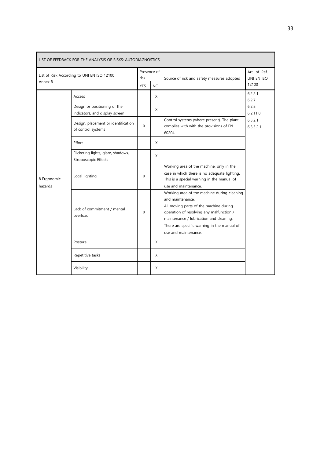| LIST OF FEEDBACK FOR THE ANALYSIS OF RISKS: AUTODIAGNOSTICS |                                                                |                     |           |                                                                                                                                                                                                                                                                         |                            |  |  |  |
|-------------------------------------------------------------|----------------------------------------------------------------|---------------------|-----------|-------------------------------------------------------------------------------------------------------------------------------------------------------------------------------------------------------------------------------------------------------------------------|----------------------------|--|--|--|
| List of Risk According to UNI EN ISO 12100<br>Annex B       |                                                                | Presence of<br>risk |           | Source of risk and safety measures adopted                                                                                                                                                                                                                              | Art. of Ref.<br>UNI EN ISO |  |  |  |
|                                                             |                                                                | <b>YES</b>          | <b>NO</b> |                                                                                                                                                                                                                                                                         | 12100                      |  |  |  |
|                                                             | Access                                                         |                     | X         |                                                                                                                                                                                                                                                                         | 6.2.2.1<br>6.2.7           |  |  |  |
|                                                             | Design or positioning of the<br>indicators, and display screen |                     | X         |                                                                                                                                                                                                                                                                         | 6.2.8<br>6.2.11.8          |  |  |  |
|                                                             | Design, placement or identification<br>of control systems      | X                   |           | Control systems (where present). The plant<br>complies with with the provisions of EN<br>60204                                                                                                                                                                          | 6.3.2.1<br>6.3.3.2.1       |  |  |  |
|                                                             | Effort                                                         |                     | X         |                                                                                                                                                                                                                                                                         |                            |  |  |  |
|                                                             | Flickering lights, glare, shadows,<br>Stroboscopic Effects     |                     | X         |                                                                                                                                                                                                                                                                         |                            |  |  |  |
| 8 Ergonomic<br>hazards                                      | Local lighting                                                 | X                   |           | Working area of the machine, only in the<br>case in which there is no adequate lighting.<br>This is a special warning in the manual of<br>use and maintenance.                                                                                                          |                            |  |  |  |
|                                                             | Lack of commitment / mental<br>overload                        | X                   |           | Working area of the machine during cleaning<br>and maintenance.<br>All moving parts of the machine during<br>operation of resolving any malfunction /<br>maintenance / lubrication and cleaning.<br>There are specific warning in the manual of<br>use and maintenance. |                            |  |  |  |
|                                                             | Posture                                                        |                     | X         |                                                                                                                                                                                                                                                                         |                            |  |  |  |
|                                                             | Repetitive tasks                                               |                     | X         |                                                                                                                                                                                                                                                                         |                            |  |  |  |
|                                                             | Visibility                                                     |                     | X         |                                                                                                                                                                                                                                                                         |                            |  |  |  |

 $\blacksquare$ 

 $\overline{\phantom{a}}$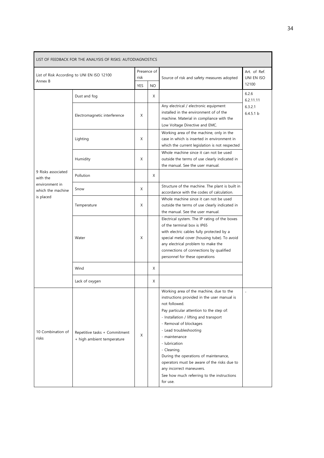| LIST OF FEEDBACK FOR THE ANALYSIS OF RISKS: AUTODIAGNOSTICS |                                                             |                                                |   |                                                                                                                                                                                                                                                                                                                                                                                                                                                                                  |                                     |  |  |  |
|-------------------------------------------------------------|-------------------------------------------------------------|------------------------------------------------|---|----------------------------------------------------------------------------------------------------------------------------------------------------------------------------------------------------------------------------------------------------------------------------------------------------------------------------------------------------------------------------------------------------------------------------------------------------------------------------------|-------------------------------------|--|--|--|
| List of Risk According to UNI EN ISO 12100<br>Annex B       |                                                             | Presence of<br>risk<br><b>YES</b><br><b>NO</b> |   | Source of risk and safety measures adopted                                                                                                                                                                                                                                                                                                                                                                                                                                       | Art. of Ref.<br>UNI EN ISO<br>12100 |  |  |  |
|                                                             | Dust and fog                                                |                                                | X |                                                                                                                                                                                                                                                                                                                                                                                                                                                                                  | 6.2.6                               |  |  |  |
|                                                             | Electromagnetic interference                                | X                                              |   | Any electrical / electronic equipment<br>installed in the environment of of the<br>machine. Material in compliance with the<br>Low Voltage Directive and EMC.                                                                                                                                                                                                                                                                                                                    | 6.2.11.11<br>6.3.2.1<br>6451h       |  |  |  |
|                                                             | Lighting                                                    | X                                              |   | Working area of the machine, only in the<br>case in which is inserted in environment in<br>which the current legislation is not respected                                                                                                                                                                                                                                                                                                                                        |                                     |  |  |  |
|                                                             | Humidity                                                    | X                                              |   | Whole machine since it can not be used<br>outside the terms of use clearly indicated in<br>the manual. See the user manual.                                                                                                                                                                                                                                                                                                                                                      |                                     |  |  |  |
| 9 Risks associated<br>with the                              | Pollution                                                   |                                                | X |                                                                                                                                                                                                                                                                                                                                                                                                                                                                                  |                                     |  |  |  |
| environment in<br>which the machine                         | Snow                                                        | X                                              |   | Structure of the machine. The plant is built in<br>accordance with the codes of calculation.                                                                                                                                                                                                                                                                                                                                                                                     |                                     |  |  |  |
| is placed                                                   | Temperature                                                 | X                                              |   | Whole machine since it can not be used<br>outside the terms of use clearly indicated in<br>the manual. See the user manual.                                                                                                                                                                                                                                                                                                                                                      |                                     |  |  |  |
|                                                             | Water                                                       | X                                              |   | Electrical system. The IP rating of the boxes<br>of the terminal box is IP65<br>with electric cables fully protected by a<br>special metal cover (housing tube). To avoid<br>any electrical problem to make the<br>connections of connections by qualified<br>personnel for these operations                                                                                                                                                                                     |                                     |  |  |  |
|                                                             | Wind                                                        |                                                | X |                                                                                                                                                                                                                                                                                                                                                                                                                                                                                  |                                     |  |  |  |
|                                                             | Lack of oxygen                                              |                                                | X |                                                                                                                                                                                                                                                                                                                                                                                                                                                                                  |                                     |  |  |  |
| 10 Combination of<br>risks                                  | Repetitive tasks + Commitment<br>+ high ambient temperature | X                                              |   | Working area of the machine, due to the<br>instructions provided in the user manual is<br>not followed.<br>Pay particular attention to the step of:<br>- Installation / lifting and transport<br>- Removal of blockages<br>- Lead troubleshooting<br>- maintenance<br>- lubrication<br>- Cleaning.<br>During the operations of maintenance,<br>operators must be aware of the risks due to<br>any incorrect maneuvers.<br>See how much referring to the instructions<br>for use. | $\overline{\phantom{a}}$            |  |  |  |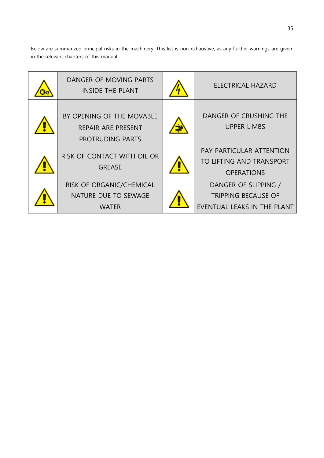Below are summarized principal risks in the machinery. This list is non-exhaustive, as any further warnings are given in the relevant chapters of this manual.

| DANGER OF MOVING PARTS<br><b>INSIDE THE PLANT</b>                   | <b>ELECTRICAL HAZARD</b>                                                          |
|---------------------------------------------------------------------|-----------------------------------------------------------------------------------|
| BY OPENING OF THE MOVABLE<br>REPAIR ARE PRESENT<br>PROTRUDING PARTS | DANGER OF CRUSHING THE<br><b>UPPER LIMBS</b>                                      |
| RISK OF CONTACT WITH OIL OR<br><b>GREASE</b>                        | <b>PAY PARTICULAR ATTENTION</b><br>TO LIFTING AND TRANSPORT<br><b>OPERATIONS</b>  |
| RISK OF ORGANIC/CHEMICAL<br>NATURE DUE TO SEWAGE<br><b>WATER</b>    | DANGER OF SLIPPING /<br><b>TRIPPING BECAUSE OF</b><br>EVENTUAL LEAKS IN THE PLANT |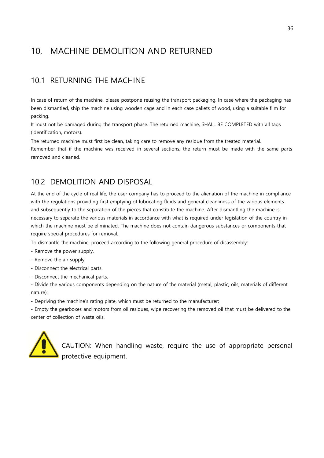#### <span id="page-37-0"></span>10. MACHINE DEMOLITION AND RETURNED

#### <span id="page-37-1"></span>10.1 RETURNING THE MACHINE

In case of return of the machine, please postpone reusing the transport packaging. In case where the packaging has been dismantled, ship the machine using wooden cage and in each case pallets of wood, using a suitable film for packing.

It must not be damaged during the transport phase. The returned machine, SHALL BE COMPLETED with all tags (identification, motors).

The returned machine must first be clean, taking care to remove any residue from the treated material. Remember that if the machine was received in several sections, the return must be made with the same parts removed and cleaned.

#### <span id="page-37-2"></span>10.2 DEMOLITION AND DISPOSAL

At the end of the cycle of real life, the user company has to proceed to the alienation of the machine in compliance with the regulations providing first emptying of lubricating fluids and general cleanliness of the various elements and subsequently to the separation of the pieces that constitute the machine. After dismantling the machine is necessary to separate the various materials in accordance with what is required under legislation of the country in which the machine must be eliminated. The machine does not contain dangerous substances or components that require special procedures for removal.

To dismantle the machine, proceed according to the following general procedure of disassembly:

- Remove the power supply.
- Remove the air supply
- Disconnect the electrical parts.
- Disconnect the mechanical parts.

- Divide the various components depending on the nature of the material (metal, plastic, oils, materials of different nature);

- Depriving the machine's rating plate, which must be returned to the manufacturer;

- Empty the gearboxes and motors from oil residues, wipe recovering the removed oil that must be delivered to the center of collection of waste oils.



CAUTION: When handling waste, require the use of appropriate personal protective equipment.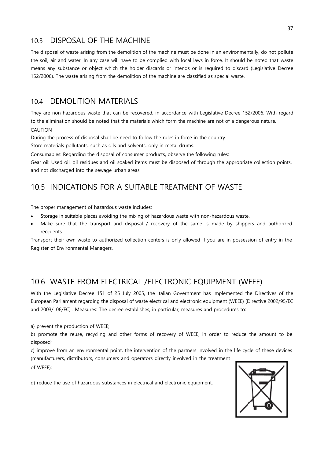#### <span id="page-38-0"></span>10.3 DISPOSAL OF THE MACHINE

The disposal of waste arising from the demolition of the machine must be done in an environmentally, do not pollute the soil, air and water. In any case will have to be complied with local laws in force. It should be noted that waste means any substance or object which the holder discards or intends or is required to discard (Legislative Decree 152/2006). The waste arising from the demolition of the machine are classified as special waste.

#### <span id="page-38-1"></span>10.4 DEMOLITION MATERIALS

They are non-hazardous waste that can be recovered, in accordance with Legislative Decree 152/2006. With regard to the elimination should be noted that the materials which form the machine are not of a dangerous nature.

CAUTION

During the process of disposal shall be need to follow the rules in force in the country.

Store materials pollutants, such as oils and solvents, only in metal drums.

Consumables: Regarding the disposal of consumer products, observe the following rules:

Gear oil: Used oil, oil residues and oil soaked items must be disposed of through the appropriate collection points, and not discharged into the sewage urban areas.

#### <span id="page-38-2"></span>10.5 INDICATIONS FOR A SUITABLE TREATMENT OF WASTE

The proper management of hazardous waste includes:

- Storage in suitable places avoiding the mixing of hazardous waste with non-hazardous waste.
- Make sure that the transport and disposal / recovery of the same is made by shippers and authorized recipients.

Transport their own waste to authorized collection centers is only allowed if you are in possession of entry in the Register of Environmental Managers.

#### <span id="page-38-3"></span>10.6 WASTE FROM ELECTRICAL /ELECTRONIC EQUIPMENT (WEEE)

With the Legislative Decree 151 of 25 July 2005, the Italian Government has implemented the Directives of the European Parliament regarding the disposal of waste electrical and electronic equipment (WEEE) (Directive 2002/95/EC and 2003/108/EC) . Measures: The decree establishes, in particular, measures and procedures to:

a) prevent the production of WEEE;

b) promote the reuse, recycling and other forms of recovery of WEEE, in order to reduce the amount to be disposed;

c) improve from an environmental point, the intervention of the partners involved in the life cycle of these devices (manufacturers, distributors, consumers and operators directly involved in the treatment

of WEEE);

d) reduce the use of hazardous substances in electrical and electronic equipment.